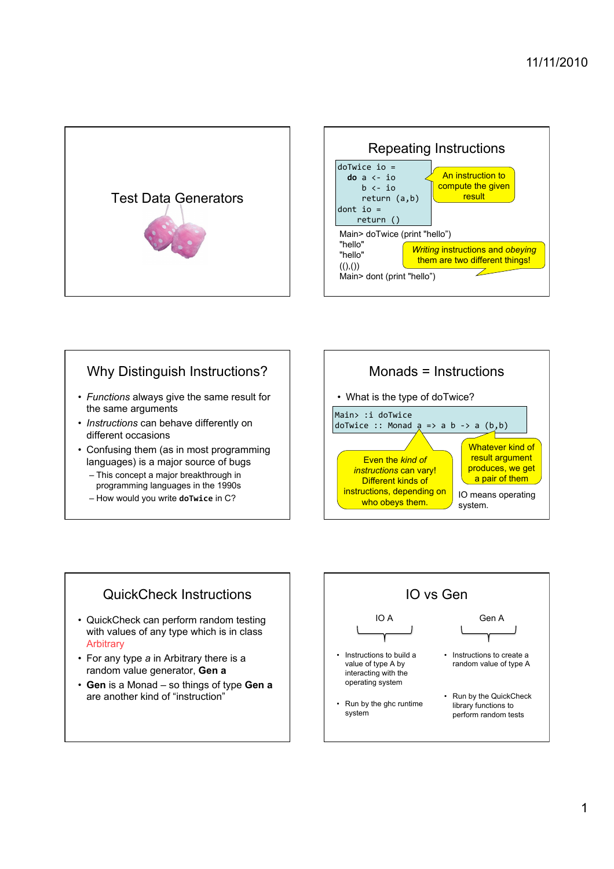



#### Why Distinguish Instructions?

- *Functions* always give the same result for the same arguments
- *Instructions* can behave differently on different occasions
- Confusing them (as in most programming languages) is a major source of bugs
	- This concept a major breakthrough in programming languages in the 1990s
	- How would you write **doTwice** in C?



#### QuickCheck Instructions

- QuickCheck can perform random testing with values of any type which is in class **Arbitrary**
- For any type *a* in Arbitrary there is a random value generator, **Gen a**
- **Gen** is a Monad so things of type **Gen a** are another kind of "instruction"

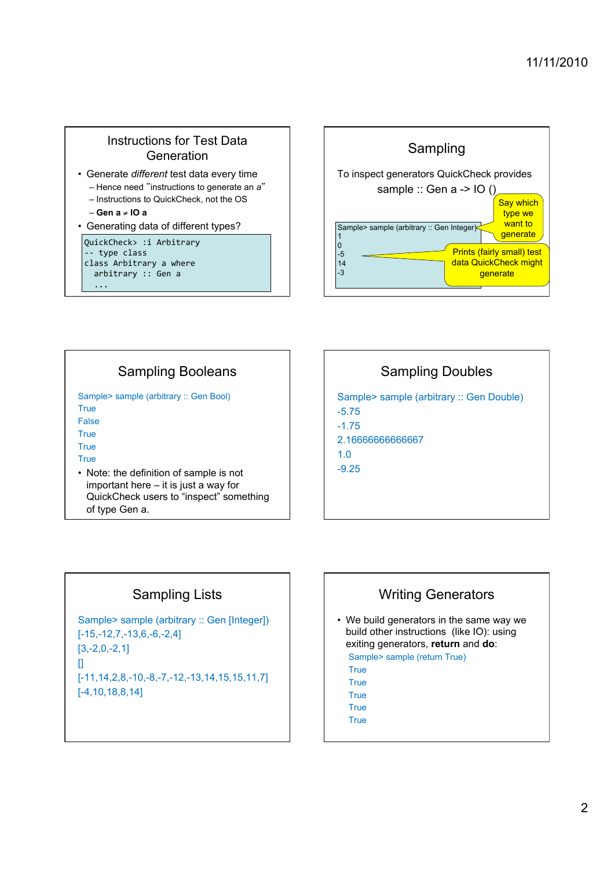# Instructions for Test Data **Generation**

- Generate *different* test data every time
	- Hence need "instructions to generate an *a*" – Instructions to QuickCheck, not the OS
	- **Gen a** ! **IO a**
- Generating data of different types?

#### QuickCheck> :i Arbitrary

type class class Arbitrary a where

 $arbitrary :: Gen a$  $\ddotsc$ 



# Sampling Booleans

Sample> sample (arbitrary :: Gen Bool) **True** False

**True** 

**True** 

True

• Note: the definition of sample is not important here – it is just a way for QuickCheck users to "inspect" something of type Gen a.

# Sampling Doubles

Sample> sample (arbitrary :: Gen Double) -5.75 -1.75 2.16666666666667 1.0 -9.25

# Sampling Lists

Sample> sample (arbitrary :: Gen [Integer]) [-15,-12,7,-13,6,-6,-2,4] [3,-2,0,-2,1] [] [-11,14,2,8,-10,-8,-7,-12,-13,14,15,15,11,7] [-4,10,18,8,14]

# Writing Generators

- We build generators in the same way we build other instructions (like IO): using exiting generators, **return** and **do**: Sample> sample (return True)
	- **True**
	- True **True**
	- True
	- **True**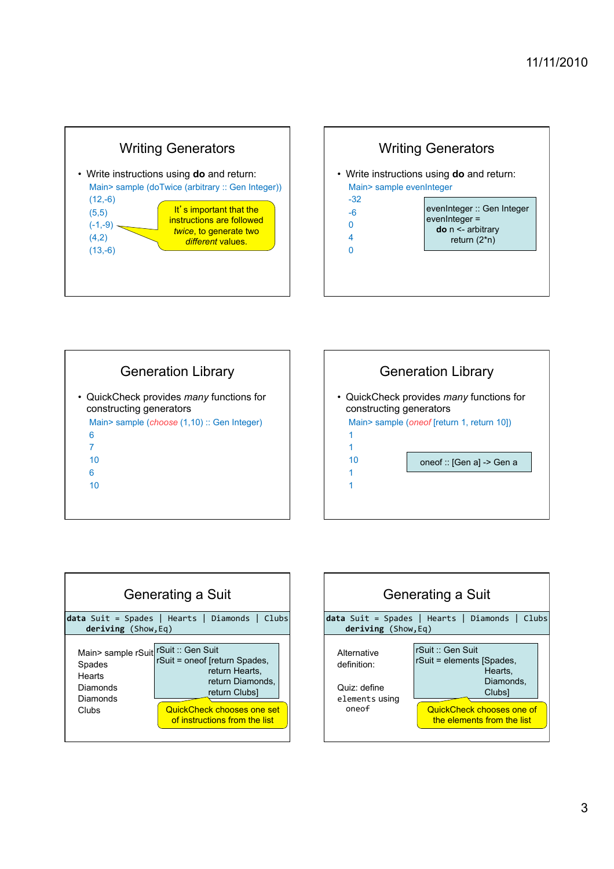









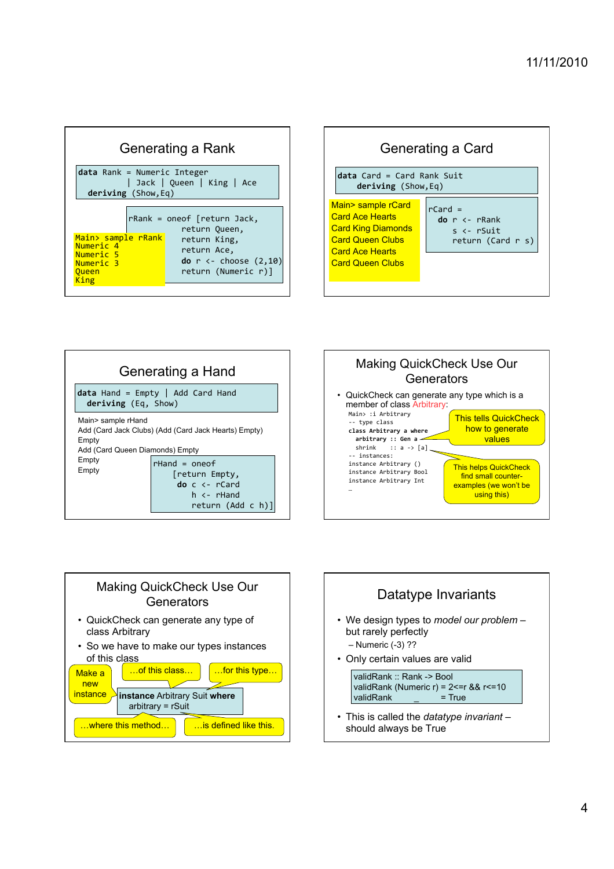| Generating a Rank                                                                           |  |                                                                                          |  |  |  |  |
|---------------------------------------------------------------------------------------------|--|------------------------------------------------------------------------------------------|--|--|--|--|
| $data$ Rank = Numeric Integer<br>  Jack   Queen   King   Ace<br>deriving (Show, Eq)         |  |                                                                                          |  |  |  |  |
|                                                                                             |  | $r$ Rank = oneof [return Jack,<br>return Queen,                                          |  |  |  |  |
| <u>Main&gt; sample rRank</u><br>Numeric 4<br>Numeric 5<br>Numeric 3<br><u>Oueen</u><br>King |  | return King,<br>return Ace,<br>do $r \leftarrow$ choose $(2, 10)$<br>return (Numeric r)] |  |  |  |  |









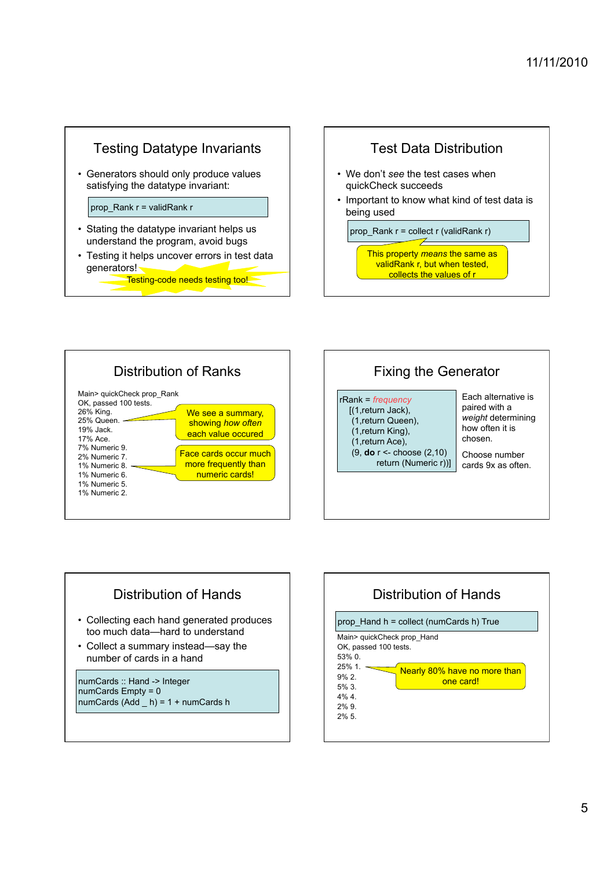

• Generators should only produce values satisfying the datatype invariant:

prop\_Rank r = validRank r

- Stating the datatype invariant helps us understand the program, avoid bugs
- Testing it helps uncover errors in test data generators!

Testing-code needs testing too!









numCards Empty = 0 numCards  $(Add \ h) = 1 + numCards h$ 

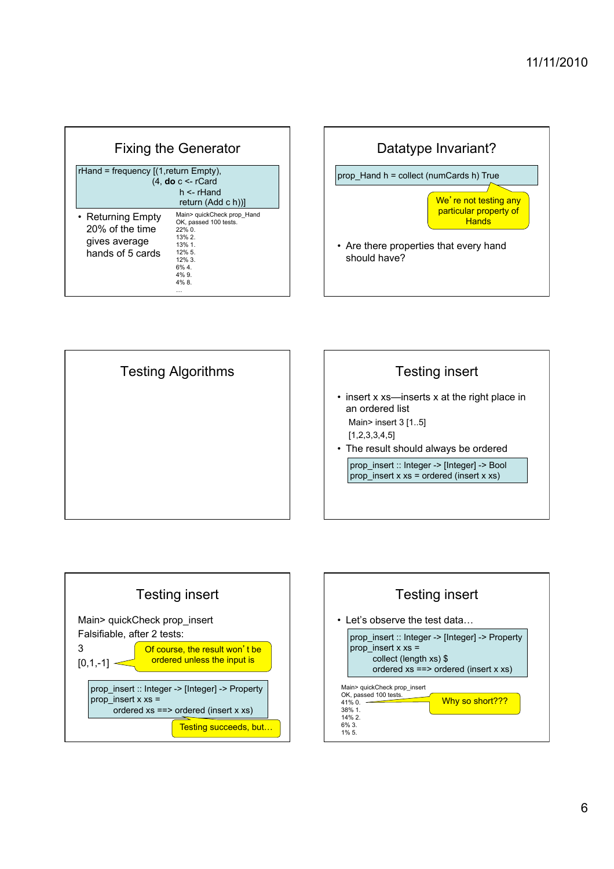| <b>Fixing the Generator</b>                                               |                                                                                                                                        |  |  |  |  |
|---------------------------------------------------------------------------|----------------------------------------------------------------------------------------------------------------------------------------|--|--|--|--|
| $r$ Hand = frequency $[(1, return \text{Empty})]$ ,                       | $(4, do c <$ rCard<br>$h <$ -rHand<br>return (Add c h))                                                                                |  |  |  |  |
| • Returning Empty<br>20% of the time<br>gives average<br>hands of 5 cards | Main> quickCheck prop Hand<br>OK, passed 100 tests.<br>$22\%$ 0.<br>13%2<br>13%1<br>12% 5.<br>$12\%3$<br>$6\%$ 4.<br>$4\%$ 9.<br>4% 8. |  |  |  |  |









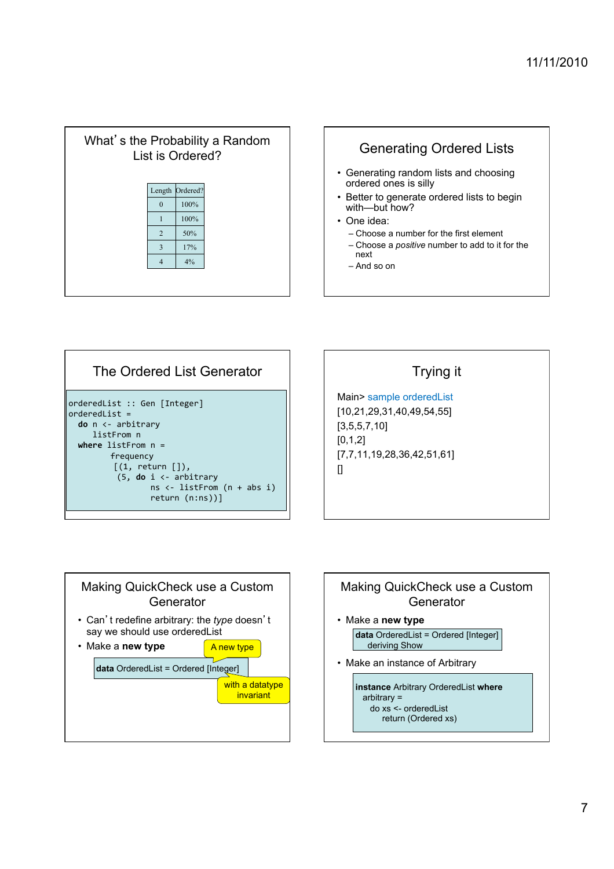| What's the Probability a Random<br>List is Ordered? |                |          |  |  |  |
|-----------------------------------------------------|----------------|----------|--|--|--|
|                                                     | Length         | Ordered? |  |  |  |
|                                                     | $\mathbf{0}$   | 100%     |  |  |  |
|                                                     | $\mathbf{1}$   | 100%     |  |  |  |
|                                                     | $\overline{2}$ | 50%      |  |  |  |
|                                                     | $\overline{3}$ | 17%      |  |  |  |
|                                                     | $\overline{4}$ | 4%       |  |  |  |
|                                                     |                |          |  |  |  |



– And so on

| The Ordered List Generator                                                                                                                                                                                                                                               |
|--------------------------------------------------------------------------------------------------------------------------------------------------------------------------------------------------------------------------------------------------------------------------|
| orderedList :: Gen [Integer]<br>$orderedList =$<br>$do n \leftarrow arbitrary$<br>listFrom n<br>where $listFrom n =$<br>frequency<br>$\lceil$ (1, return $\lceil$ ]),<br>$(5, do i \leftarrow arbitrary$<br>ns $\leftarrow$ listFrom $(n + abs i)$<br>$return (n:ns))$ ] |

### Trying it

Main> sample orderedList [10,21,29,31,40,49,54,55] [3,5,5,7,10] [0,1,2] [7,7,11,19,28,36,42,51,61]  $\prod$